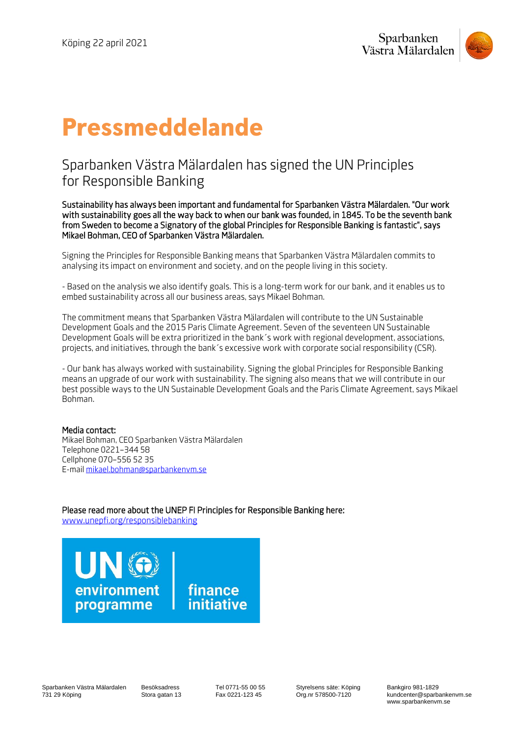

# **Pressmeddelande**

# Sparbanken Västra Mälardalen has signed the UN Principles for Responsible Banking

Sustainability has always been important and fundamental for Sparbanken Västra Mälardalen. "Our work with sustainability goes all the way back to when our bank was founded, in 1845. To be the seventh bank from Sweden to become a Signatory of the global Principles for Responsible Banking is fantastic", says Mikael Bohman, CEO of Sparbanken Västra Mälardalen.

Signing the Principles for Responsible Banking means that Sparbanken Västra Mälardalen commits to analysing its impact on environment and society, and on the people living in this society.

- Based on the analysis we also identify goals. This is a long-term work for our bank, and it enables us to embed sustainability across all our business areas, says Mikael Bohman.

The commitment means that Sparbanken Västra Mälardalen will contribute to the UN Sustainable Development Goals and the 2015 Paris Climate Agreement. Seven of the seventeen UN Sustainable Development Goals will be extra prioritized in the bank´s work with regional development, associations, projects, and initiatives, through the bank´s excessive work with corporate social responsibility (CSR).

- Our bank has always worked with sustainability. Signing the global Principles for Responsible Banking means an upgrade of our work with sustainability. The signing also means that we will contribute in our best possible ways to the UN Sustainable Development Goals and the Paris Climate Agreement, says Mikael Bohman.

## Media contact:

Mikael Bohman, CEO Sparbanken Västra Mälardalen Telephone 0221–344 58 Cellphone 070–556 52 35 E-mail [mikael.bohman@sparbankenvm.se](mailto:mikael.bohman@sparbankenvm.se)

Please read more about the UNEP FI Principles for Responsible Banking here: [www.unepfi.org/responsiblebanking](http://www.unepfi.org/responsiblebanking)